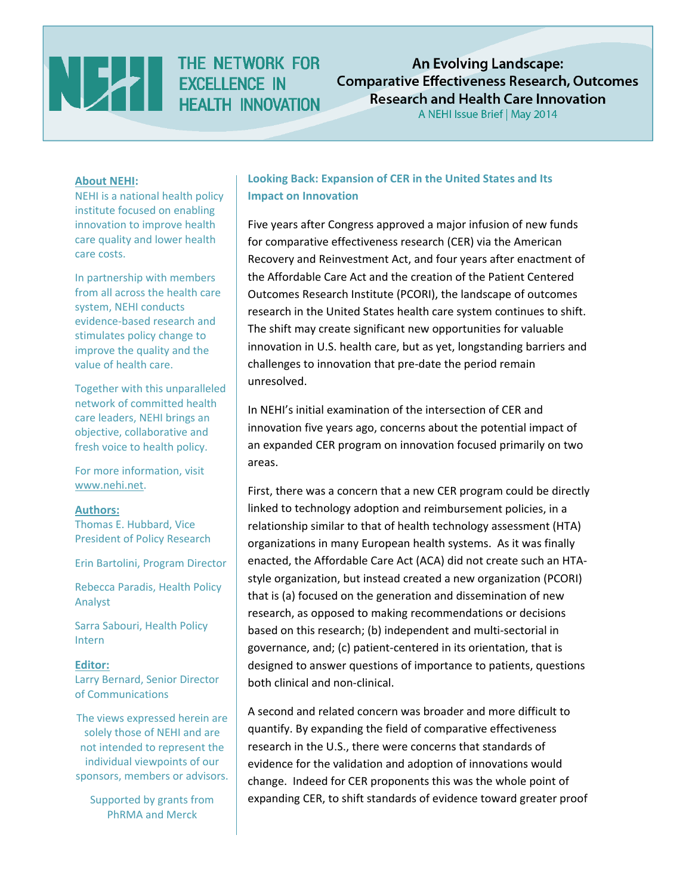

THE NETWORK FOR **HEALTH INNOVATION** 

**An Evolving Landscape: Comparative Effectiveness Research, Outcomes Research and Health Care Innovation** 

A NEHI Issue Brief | May 2014

#### **About NEHI:**

NEHI is a national health policy institute focused on enabling innovation to improve health care quality and lower health care costs.

In partnership with members from all across the health care system, NEHI conducts evidence‐based research and stimulates policy change to improve the quality and the value of health care.

Together with this unparalleled network of committed health care leaders, NEHI brings an objective, collaborative and fresh voice to health policy.

For more information, visit www.nehi.net.

#### **Authors:**

Thomas E. Hubbard, Vice President of Policy Research

Erin Bartolini, Program Director

Rebecca Paradis, Health Policy Analyst

Sarra Sabouri, Health Policy Intern

**Editor:** Larry Bernard, Senior Director of Communications

The views expressed herein are solely those of NEHI and are not intended to represent the individual viewpoints of our sponsors, members or advisors.

Supported by grants from PhRMA and Merck

# **Looking Back: Expansion of CER in the United States and Its Impact on Innovation**

Five years after Congress approved a major infusion of new funds for comparative effectiveness research (CER) via the American Recovery and Reinvestment Act, and four years after enactment of the Affordable Care Act and the creation of the Patient Centered Outcomes Research Institute (PCORI), the landscape of outcomes research in the United States health care system continues to shift. The shift may create significant new opportunities for valuable innovation in U.S. health care, but as yet, longstanding barriers and challenges to innovation that pre‐date the period remain unresolved.

In NEHI's initial examination of the intersection of CER and innovation five years ago, concerns about the potential impact of an expanded CER program on innovation focused primarily on two areas.

First, there was a concern that a new CER program could be directly linked to technology adoption and reimbursement policies, in a relationship similar to that of health technology assessment (HTA) organizations in many European health systems. As it was finally enacted, the Affordable Care Act (ACA) did not create such an HTA‐ style organization, but instead created a new organization (PCORI) that is (a) focused on the generation and dissemination of new research, as opposed to making recommendations or decisions based on this research; (b) independent and multi‐sectorial in governance, and; (c) patient‐centered in its orientation, that is designed to answer questions of importance to patients, questions both clinical and non‐clinical.

A second and related concern was broader and more difficult to quantify. By expanding the field of comparative effectiveness research in the U.S., there were concerns that standards of evidence for the validation and adoption of innovations would change. Indeed for CER proponents this was the whole point of expanding CER, to shift standards of evidence toward greater proof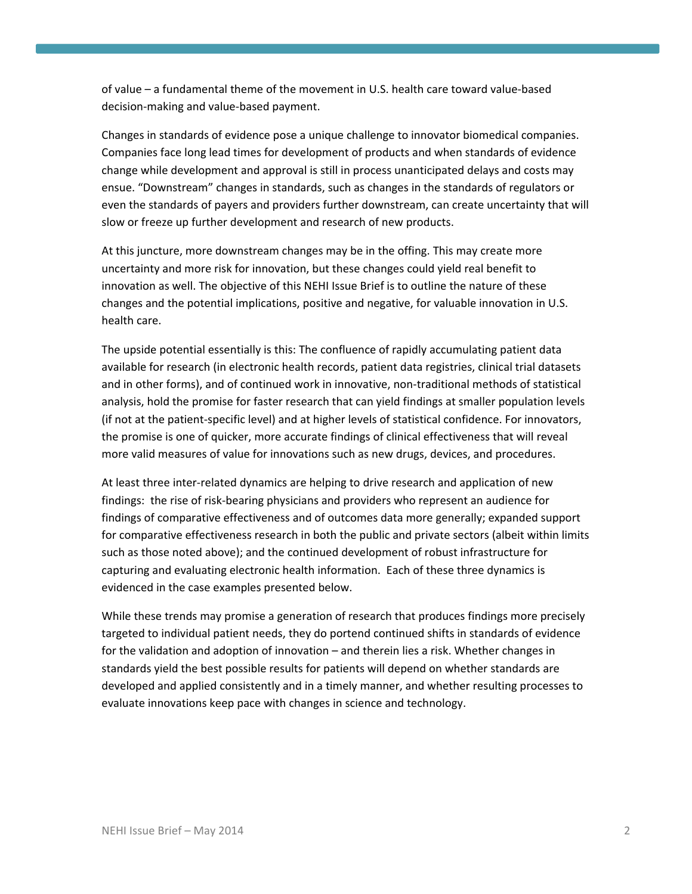of value – a fundamental theme of the movement in U.S. health care toward value‐based decision‐making and value‐based payment.

Changes in standards of evidence pose a unique challenge to innovator biomedical companies. Companies face long lead times for development of products and when standards of evidence change while development and approval is still in process unanticipated delays and costs may ensue. "Downstream" changes in standards, such as changes in the standards of regulators or even the standards of payers and providers further downstream, can create uncertainty that will slow or freeze up further development and research of new products.

At this juncture, more downstream changes may be in the offing. This may create more uncertainty and more risk for innovation, but these changes could yield real benefit to innovation as well. The objective of this NEHI Issue Brief is to outline the nature of these changes and the potential implications, positive and negative, for valuable innovation in U.S. health care.

The upside potential essentially is this: The confluence of rapidly accumulating patient data available for research (in electronic health records, patient data registries, clinical trial datasets and in other forms), and of continued work in innovative, non‐traditional methods of statistical analysis, hold the promise for faster research that can yield findings at smaller population levels (if not at the patient‐specific level) and at higher levels of statistical confidence. For innovators, the promise is one of quicker, more accurate findings of clinical effectiveness that will reveal more valid measures of value for innovations such as new drugs, devices, and procedures.

At least three inter-related dynamics are helping to drive research and application of new findings: the rise of risk‐bearing physicians and providers who represent an audience for findings of comparative effectiveness and of outcomes data more generally; expanded support for comparative effectiveness research in both the public and private sectors (albeit within limits such as those noted above); and the continued development of robust infrastructure for capturing and evaluating electronic health information. Each of these three dynamics is evidenced in the case examples presented below.

While these trends may promise a generation of research that produces findings more precisely targeted to individual patient needs, they do portend continued shifts in standards of evidence for the validation and adoption of innovation – and therein lies a risk. Whether changes in standards yield the best possible results for patients will depend on whether standards are developed and applied consistently and in a timely manner, and whether resulting processes to evaluate innovations keep pace with changes in science and technology.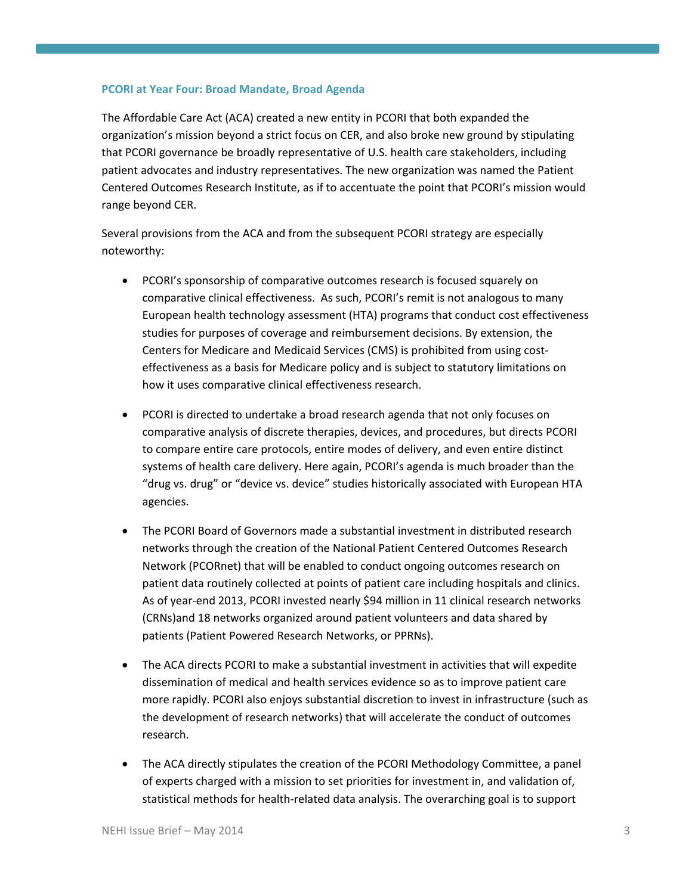## **PCORI at Year Four: Broad Mandate, Broad Agenda**

The Affordable Care Act (ACA) created a new entity in PCORI that both expanded the organization's mission beyond a strict focus on CER, and also broke new ground by stipulating that PCORI governance be broadly representative of U.S. health care stakeholders, including patient advocates and industry representatives. The new organization was named the Patient Centered Outcomes Research Institute, as if to accentuate the point that PCORI's mission would range beyond CER.

Several provisions from the ACA and from the subsequent PCORI strategy are especially noteworthy:

- PCORI's sponsorship of comparative outcomes research is focused squarely on comparative clinical effectiveness. As such, PCORI's remit is not analogous to many European health technology assessment (HTA) programs that conduct cost effectiveness studies for purposes of coverage and reimbursement decisions. By extension, the Centers for Medicare and Medicaid Services (CMS) is prohibited from using cost‐ effectiveness as a basis for Medicare policy and is subject to statutory limitations on how it uses comparative clinical effectiveness research.
- PCORI is directed to undertake a broad research agenda that not only focuses on comparative analysis of discrete therapies, devices, and procedures, but directs PCORI to compare entire care protocols, entire modes of delivery, and even entire distinct systems of health care delivery. Here again, PCORI's agenda is much broader than the "drug vs. drug" or "device vs. device" studies historically associated with European HTA agencies.
- The PCORI Board of Governors made a substantial investment in distributed research networks through the creation of the National Patient Centered Outcomes Research Network (PCORnet) that will be enabled to conduct ongoing outcomes research on patient data routinely collected at points of patient care including hospitals and clinics. As of year‐end 2013, PCORI invested nearly \$94 million in 11 clinical research networks (CRNs)and 18 networks organized around patient volunteers and data shared by patients (Patient Powered Research Networks, or PPRNs).
- The ACA directs PCORI to make a substantial investment in activities that will expedite dissemination of medical and health services evidence so as to improve patient care more rapidly. PCORI also enjoys substantial discretion to invest in infrastructure (such as the development of research networks) that will accelerate the conduct of outcomes research.
- The ACA directly stipulates the creation of the PCORI Methodology Committee, a panel of experts charged with a mission to set priorities for investment in, and validation of, statistical methods for health‐related data analysis. The overarching goal is to support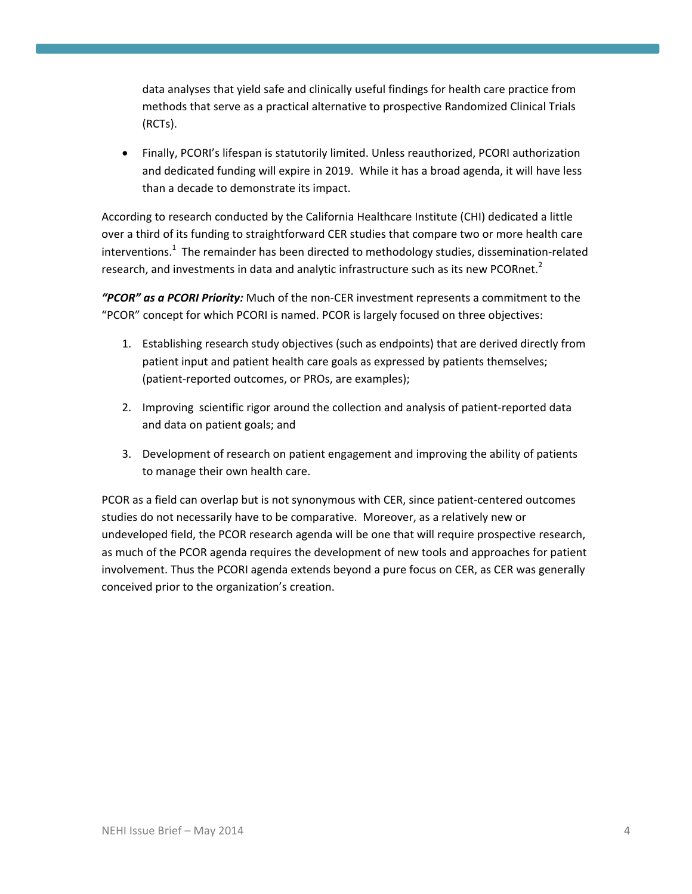data analyses that yield safe and clinically useful findings for health care practice from methods that serve as a practical alternative to prospective Randomized Clinical Trials (RCTs).

 Finally, PCORI's lifespan is statutorily limited. Unless reauthorized, PCORI authorization and dedicated funding will expire in 2019. While it has a broad agenda, it will have less than a decade to demonstrate its impact.

According to research conducted by the California Healthcare Institute (CHI) dedicated a little over a third of its funding to straightforward CER studies that compare two or more health care interventions.<sup>1</sup> The remainder has been directed to methodology studies, dissemination-related research, and investments in data and analytic infrastructure such as its new PCORnet.<sup>2</sup>

*"PCOR" as a PCORI Priority:* Much of the non‐CER investment represents a commitment to the "PCOR" concept for which PCORI is named. PCOR is largely focused on three objectives:

- 1. Establishing research study objectives (such as endpoints) that are derived directly from patient input and patient health care goals as expressed by patients themselves; (patient‐reported outcomes, or PROs, are examples);
- 2. Improving scientific rigor around the collection and analysis of patient‐reported data and data on patient goals; and
- 3. Development of research on patient engagement and improving the ability of patients to manage their own health care.

PCOR as a field can overlap but is not synonymous with CER, since patient‐centered outcomes studies do not necessarily have to be comparative. Moreover, as a relatively new or undeveloped field, the PCOR research agenda will be one that will require prospective research, as much of the PCOR agenda requires the development of new tools and approaches for patient involvement. Thus the PCORI agenda extends beyond a pure focus on CER, as CER was generally conceived prior to the organization's creation.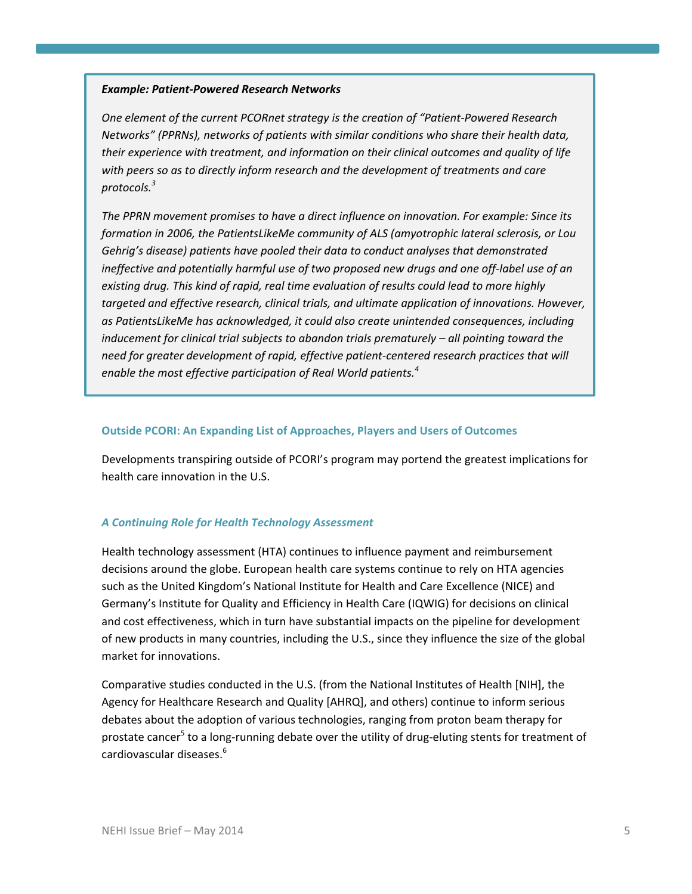## *Example: Patient‐Powered Research Networks*

*One element of the current PCORnet strategy is the creation of "Patient‐Powered Research Networks" (PPRNs), networks of patients with similar conditions who share their health data, their experience with treatment, and information on their clinical outcomes and quality of life with peers so as to directly inform research and the development of treatments and care protocols.<sup>3</sup>* 

*The PPRN movement promises to have a direct influence on innovation. For example: Since its formation in 2006, the PatientsLikeMe community of ALS (amyotrophic lateral sclerosis, or Lou Gehrig's disease) patients have pooled their data to conduct analyses that demonstrated ineffective and potentially harmful use of two proposed new drugs and one off‐label use of an existing drug. This kind of rapid, real time evaluation of results could lead to more highly targeted and effective research, clinical trials, and ultimate application of innovations. However, as PatientsLikeMe has acknowledged, it could also create unintended consequences, including inducement for clinical trial subjects to abandon trials prematurely – all pointing toward the need for greater development of rapid, effective patient‐centered research practices that will enable the most effective participation of Real World patients.<sup>4</sup>* 

### **Outside PCORI: An Expanding List of Approaches, Players and Users of Outcomes**

Developments transpiring outside of PCORI's program may portend the greatest implications for health care innovation in the U.S.

## *A Continuing Role for Health Technology Assessment*

Health technology assessment (HTA) continues to influence payment and reimbursement decisions around the globe. European health care systems continue to rely on HTA agencies such as the United Kingdom's National Institute for Health and Care Excellence (NICE) and Germany's Institute for Quality and Efficiency in Health Care (IQWIG) for decisions on clinical and cost effectiveness, which in turn have substantial impacts on the pipeline for development of new products in many countries, including the U.S., since they influence the size of the global market for innovations.

Comparative studies conducted in the U.S. (from the National Institutes of Health [NIH], the Agency for Healthcare Research and Quality [AHRQ], and others) continue to inform serious debates about the adoption of various technologies, ranging from proton beam therapy for prostate cancer<sup>5</sup> to a long-running debate over the utility of drug-eluting stents for treatment of cardiovascular diseases.<sup>6</sup>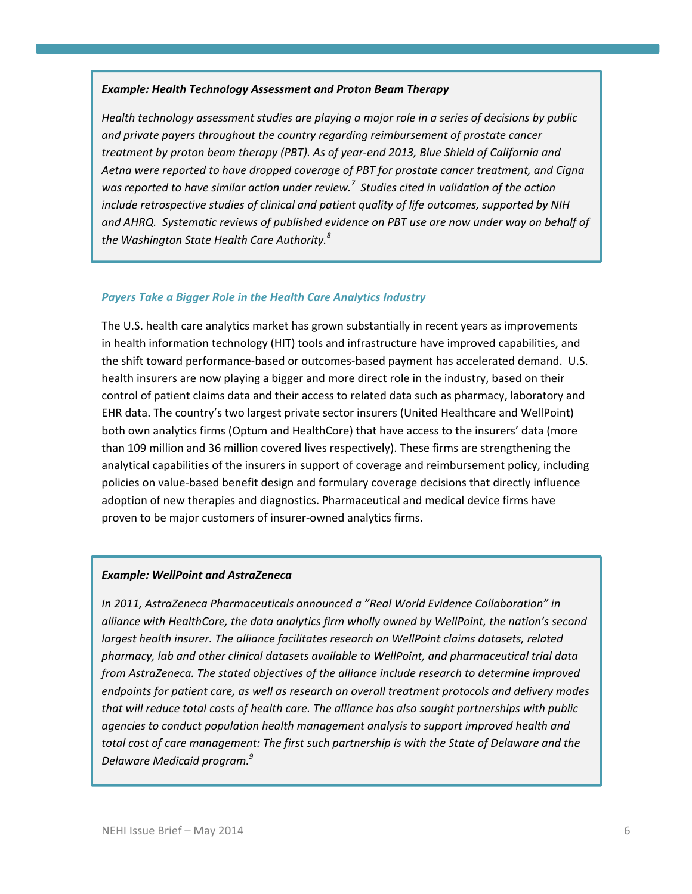### *Example: Health Technology Assessment and Proton Beam Therapy*

*Health technology assessment studies are playing a major role in a series of decisions by public and private payers throughout the country regarding reimbursement of prostate cancer treatment by proton beam therapy (PBT). As of year‐end 2013, Blue Shield of California and Aetna were reported to have dropped coverage of PBT for prostate cancer treatment, and Cigna was reported to have similar action under review.<sup>7</sup> Studies cited in validation of the action include retrospective studies of clinical and patient quality of life outcomes, supported by NIH and AHRQ. Systematic reviews of published evidence on PBT use are now under way on behalf of the Washington State Health Care Authority.<sup>8</sup>* 

### *Payers Take a Bigger Role in the Health Care Analytics Industry*

The U.S. health care analytics market has grown substantially in recent years as improvements in health information technology (HIT) tools and infrastructure have improved capabilities, and the shift toward performance‐based or outcomes‐based payment has accelerated demand. U.S. health insurers are now playing a bigger and more direct role in the industry, based on their control of patient claims data and their access to related data such as pharmacy, laboratory and EHR data. The country's two largest private sector insurers (United Healthcare and WellPoint) both own analytics firms (Optum and HealthCore) that have access to the insurers' data (more than 109 million and 36 million covered lives respectively). These firms are strengthening the analytical capabilities of the insurers in support of coverage and reimbursement policy, including policies on value‐based benefit design and formulary coverage decisions that directly influence adoption of new therapies and diagnostics. Pharmaceutical and medical device firms have proven to be major customers of insurer‐owned analytics firms.

#### *Example: WellPoint and AstraZeneca*

*In 2011, AstraZeneca Pharmaceuticals announced a "Real World Evidence Collaboration" in alliance with HealthCore, the data analytics firm wholly owned by WellPoint, the nation's second largest health insurer. The alliance facilitates research on WellPoint claims datasets, related pharmacy, lab and other clinical datasets available to WellPoint, and pharmaceutical trial data from AstraZeneca. The stated objectives of the alliance include research to determine improved endpoints for patient care, as well as research on overall treatment protocols and delivery modes that will reduce total costs of health care. The alliance has also sought partnerships with public agencies to conduct population health management analysis to support improved health and total cost of care management: The first such partnership is with the State of Delaware and the Delaware Medicaid program.9*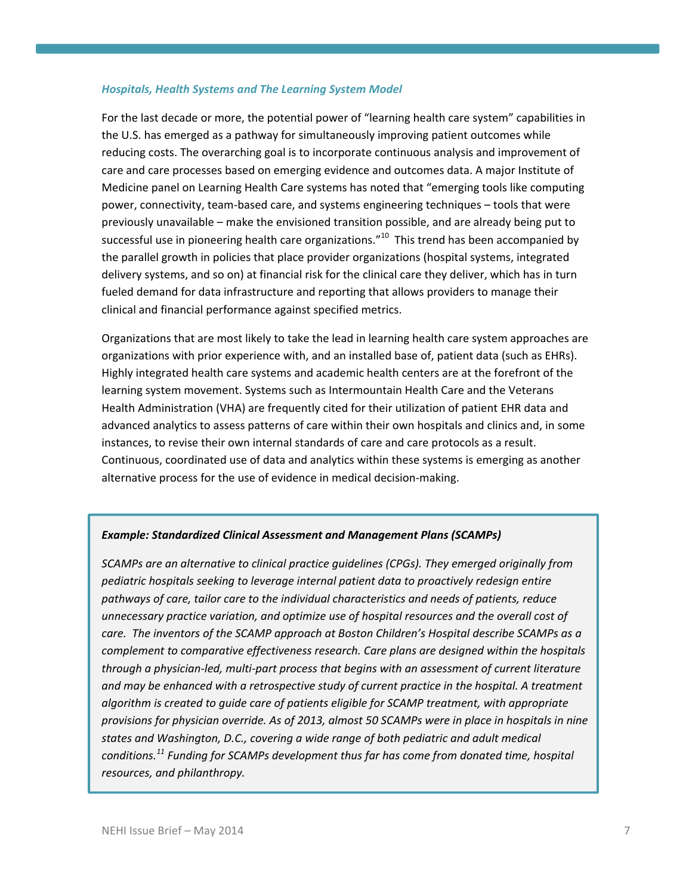### *Hospitals, Health Systems and The Learning System Model*

For the last decade or more, the potential power of "learning health care system" capabilities in the U.S. has emerged as a pathway for simultaneously improving patient outcomes while reducing costs. The overarching goal is to incorporate continuous analysis and improvement of care and care processes based on emerging evidence and outcomes data. A major Institute of Medicine panel on Learning Health Care systems has noted that "emerging tools like computing power, connectivity, team‐based care, and systems engineering techniques – tools that were previously unavailable – make the envisioned transition possible, and are already being put to successful use in pioneering health care organizations." $^{10}$  This trend has been accompanied by the parallel growth in policies that place provider organizations (hospital systems, integrated delivery systems, and so on) at financial risk for the clinical care they deliver, which has in turn fueled demand for data infrastructure and reporting that allows providers to manage their clinical and financial performance against specified metrics.

Organizations that are most likely to take the lead in learning health care system approaches are organizations with prior experience with, and an installed base of, patient data (such as EHRs). Highly integrated health care systems and academic health centers are at the forefront of the learning system movement. Systems such as Intermountain Health Care and the Veterans Health Administration (VHA) are frequently cited for their utilization of patient EHR data and advanced analytics to assess patterns of care within their own hospitals and clinics and, in some instances, to revise their own internal standards of care and care protocols as a result. Continuous, coordinated use of data and analytics within these systems is emerging as another alternative process for the use of evidence in medical decision‐making.

# *Example: Standardized Clinical Assessment and Management Plans (SCAMPs)*

*SCAMPs are an alternative to clinical practice guidelines (CPGs). They emerged originally from pediatric hospitals seeking to leverage internal patient data to proactively redesign entire pathways of care, tailor care to the individual characteristics and needs of patients, reduce unnecessary practice variation, and optimize use of hospital resources and the overall cost of care. The inventors of the SCAMP approach at Boston Children's Hospital describe SCAMPs as a complement to comparative effectiveness research. Care plans are designed within the hospitals through a physician‐led, multi‐part process that begins with an assessment of current literature and may be enhanced with a retrospective study of current practice in the hospital. A treatment algorithm is created to guide care of patients eligible for SCAMP treatment, with appropriate provisions for physician override. As of 2013, almost 50 SCAMPs were in place in hospitals in nine states and Washington, D.C., covering a wide range of both pediatric and adult medical conditions.<sup>11</sup> Funding for SCAMPs development thus far has come from donated time, hospital resources, and philanthropy.*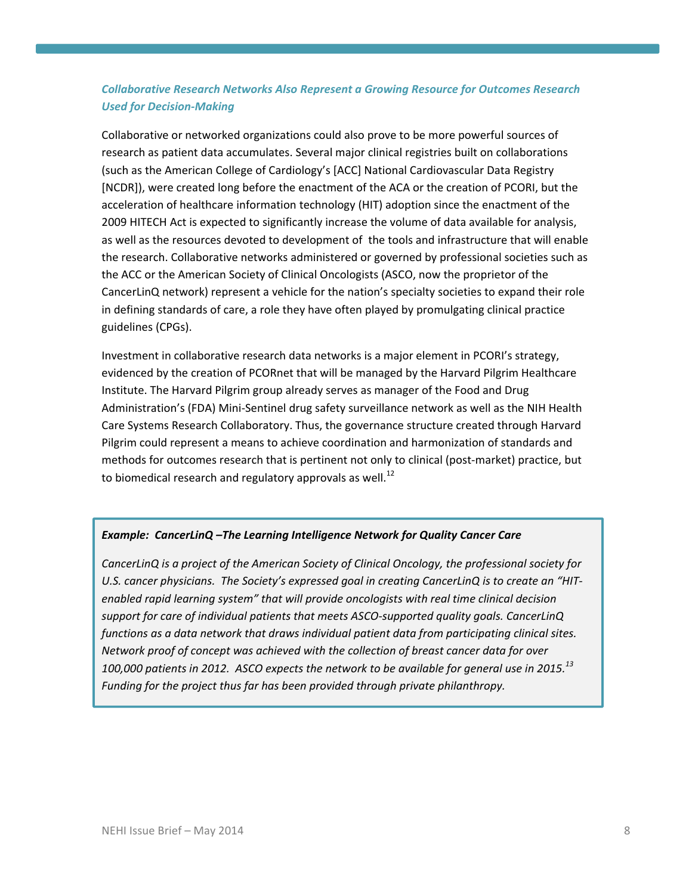# *Collaborative Research Networks Also Represent a Growing Resource for Outcomes Research Used for Decision‐Making*

Collaborative or networked organizations could also prove to be more powerful sources of research as patient data accumulates. Several major clinical registries built on collaborations (such as the American College of Cardiology's [ACC] National Cardiovascular Data Registry [NCDR]), were created long before the enactment of the ACA or the creation of PCORI, but the acceleration of healthcare information technology (HIT) adoption since the enactment of the 2009 HITECH Act is expected to significantly increase the volume of data available for analysis, as well as the resources devoted to development of the tools and infrastructure that will enable the research. Collaborative networks administered or governed by professional societies such as the ACC or the American Society of Clinical Oncologists (ASCO, now the proprietor of the CancerLinQ network) represent a vehicle for the nation's specialty societies to expand their role in defining standards of care, a role they have often played by promulgating clinical practice guidelines (CPGs).

Investment in collaborative research data networks is a major element in PCORI's strategy, evidenced by the creation of PCORnet that will be managed by the Harvard Pilgrim Healthcare Institute. The Harvard Pilgrim group already serves as manager of the Food and Drug Administration's (FDA) Mini‐Sentinel drug safety surveillance network as well as the NIH Health Care Systems Research Collaboratory. Thus, the governance structure created through Harvard Pilgrim could represent a means to achieve coordination and harmonization of standards and methods for outcomes research that is pertinent not only to clinical (post-market) practice, but to biomedical research and regulatory approvals as well.<sup>12</sup>

# *Example: CancerLinQ –The Learning Intelligence Network for Quality Cancer Care*

*CancerLinQ is a project of the American Society of Clinical Oncology, the professional society for U.S. cancer physicians. The Society's expressed goal in creating CancerLinQ is to create an "HIT‐ enabled rapid learning system" that will provide oncologists with real time clinical decision support for care of individual patients that meets ASCO‐supported quality goals. CancerLinQ functions as a data network that draws individual patient data from participating clinical sites. Network proof of concept was achieved with the collection of breast cancer data for over 100,000 patients in 2012. ASCO expects the network to be available for general use in 2015.<sup>13</sup> Funding for the project thus far has been provided through private philanthropy.*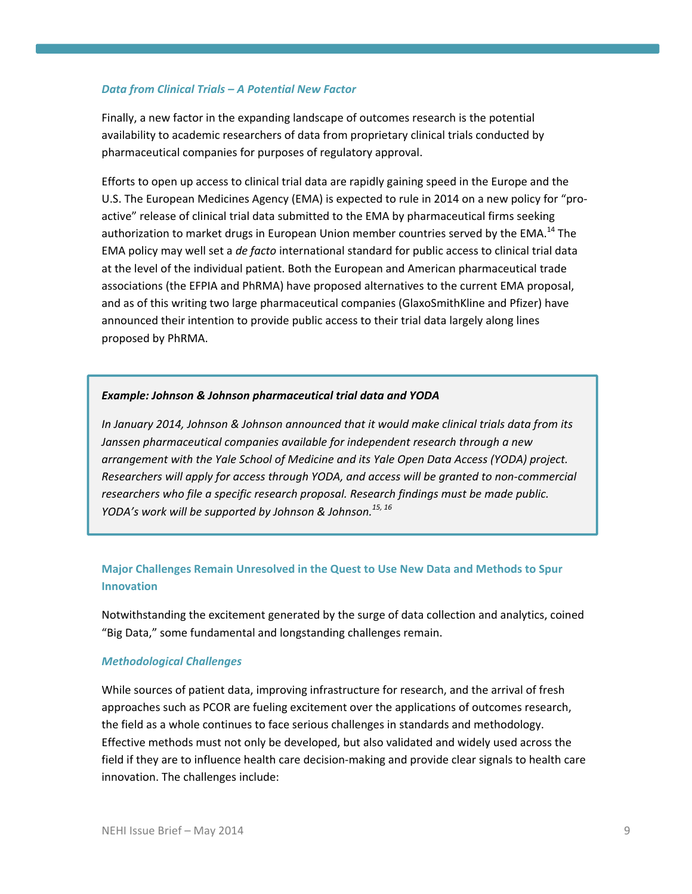### *Data from Clinical Trials – A Potential New Factor*

Finally, a new factor in the expanding landscape of outcomes research is the potential availability to academic researchers of data from proprietary clinical trials conducted by pharmaceutical companies for purposes of regulatory approval.

Efforts to open up access to clinical trial data are rapidly gaining speed in the Europe and the U.S. The European Medicines Agency (EMA) is expected to rule in 2014 on a new policy for "pro‐ active" release of clinical trial data submitted to the EMA by pharmaceutical firms seeking authorization to market drugs in European Union member countries served by the EMA.<sup>14</sup> The EMA policy may well set a *de facto* international standard for public access to clinical trial data at the level of the individual patient. Both the European and American pharmaceutical trade associations (the EFPIA and PhRMA) have proposed alternatives to the current EMA proposal, and as of this writing two large pharmaceutical companies (GlaxoSmithKline and Pfizer) have announced their intention to provide public access to their trial data largely along lines proposed by PhRMA.

### *Example: Johnson & Johnson pharmaceutical trial data and YODA*

*In January 2014, Johnson & Johnson announced that it would make clinical trials data from its Janssen pharmaceutical companies available for independent research through a new arrangement with the Yale School of Medicine and its Yale Open Data Access (YODA) project. Researchers will apply for access through YODA, and access will be granted to non‐commercial researchers who file a specific research proposal. Research findings must be made public. YODA's work will be supported by Johnson & Johnson.15, <sup>16</sup>* 

# **Major Challenges Remain Unresolved in the Quest to Use New Data and Methods to Spur Innovation**

Notwithstanding the excitement generated by the surge of data collection and analytics, coined "Big Data," some fundamental and longstanding challenges remain.

### *Methodological Challenges*

While sources of patient data, improving infrastructure for research, and the arrival of fresh approaches such as PCOR are fueling excitement over the applications of outcomes research, the field as a whole continues to face serious challenges in standards and methodology. Effective methods must not only be developed, but also validated and widely used across the field if they are to influence health care decision-making and provide clear signals to health care innovation. The challenges include: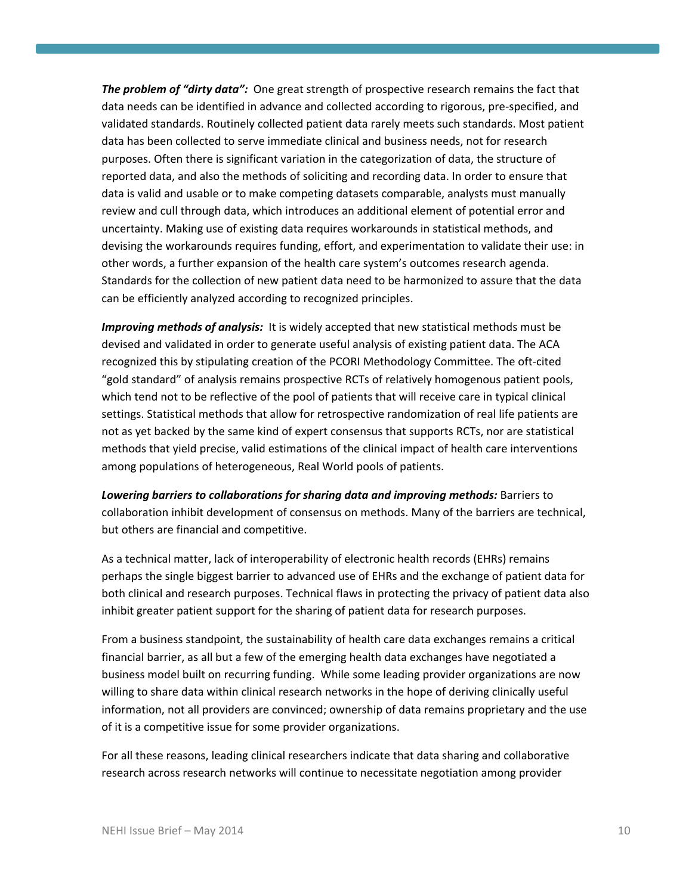*The problem of "dirty data":* One great strength of prospective research remains the fact that data needs can be identified in advance and collected according to rigorous, pre‐specified, and validated standards. Routinely collected patient data rarely meets such standards. Most patient data has been collected to serve immediate clinical and business needs, not for research purposes. Often there is significant variation in the categorization of data, the structure of reported data, and also the methods of soliciting and recording data. In order to ensure that data is valid and usable or to make competing datasets comparable, analysts must manually review and cull through data, which introduces an additional element of potential error and uncertainty. Making use of existing data requires workarounds in statistical methods, and devising the workarounds requires funding, effort, and experimentation to validate their use: in other words, a further expansion of the health care system's outcomes research agenda. Standards for the collection of new patient data need to be harmonized to assure that the data can be efficiently analyzed according to recognized principles.

*Improving methods of analysis:* It is widely accepted that new statistical methods must be devised and validated in order to generate useful analysis of existing patient data. The ACA recognized this by stipulating creation of the PCORI Methodology Committee. The oft‐cited "gold standard" of analysis remains prospective RCTs of relatively homogenous patient pools, which tend not to be reflective of the pool of patients that will receive care in typical clinical settings. Statistical methods that allow for retrospective randomization of real life patients are not as yet backed by the same kind of expert consensus that supports RCTs, nor are statistical methods that yield precise, valid estimations of the clinical impact of health care interventions among populations of heterogeneous, Real World pools of patients.

*Lowering barriers to collaborations for sharing data and improving methods:* Barriers to collaboration inhibit development of consensus on methods. Many of the barriers are technical, but others are financial and competitive.

As a technical matter, lack of interoperability of electronic health records (EHRs) remains perhaps the single biggest barrier to advanced use of EHRs and the exchange of patient data for both clinical and research purposes. Technical flaws in protecting the privacy of patient data also inhibit greater patient support for the sharing of patient data for research purposes.

From a business standpoint, the sustainability of health care data exchanges remains a critical financial barrier, as all but a few of the emerging health data exchanges have negotiated a business model built on recurring funding. While some leading provider organizations are now willing to share data within clinical research networks in the hope of deriving clinically useful information, not all providers are convinced; ownership of data remains proprietary and the use of it is a competitive issue for some provider organizations.

For all these reasons, leading clinical researchers indicate that data sharing and collaborative research across research networks will continue to necessitate negotiation among provider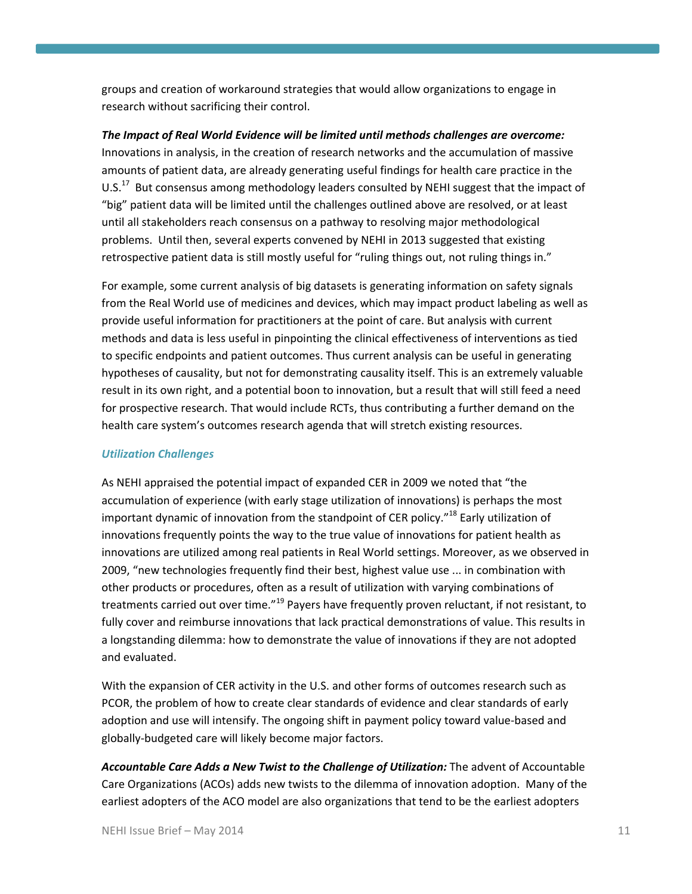groups and creation of workaround strategies that would allow organizations to engage in research without sacrificing their control.

*The Impact of Real World Evidence will be limited until methods challenges are overcome:* Innovations in analysis, in the creation of research networks and the accumulation of massive amounts of patient data, are already generating useful findings for health care practice in the U.S. $^{17}$  But consensus among methodology leaders consulted by NEHI suggest that the impact of "big" patient data will be limited until the challenges outlined above are resolved, or at least until all stakeholders reach consensus on a pathway to resolving major methodological problems. Until then, several experts convened by NEHI in 2013 suggested that existing retrospective patient data is still mostly useful for "ruling things out, not ruling things in."

For example, some current analysis of big datasets is generating information on safety signals from the Real World use of medicines and devices, which may impact product labeling as well as provide useful information for practitioners at the point of care. But analysis with current methods and data is less useful in pinpointing the clinical effectiveness of interventions as tied to specific endpoints and patient outcomes. Thus current analysis can be useful in generating hypotheses of causality, but not for demonstrating causality itself. This is an extremely valuable result in its own right, and a potential boon to innovation, but a result that will still feed a need for prospective research. That would include RCTs, thus contributing a further demand on the health care system's outcomes research agenda that will stretch existing resources.

## *Utilization Challenges*

As NEHI appraised the potential impact of expanded CER in 2009 we noted that "the accumulation of experience (with early stage utilization of innovations) is perhaps the most important dynamic of innovation from the standpoint of CER policy."<sup>18</sup> Early utilization of innovations frequently points the way to the true value of innovations for patient health as innovations are utilized among real patients in Real World settings. Moreover, as we observed in 2009, "new technologies frequently find their best, highest value use ... in combination with other products or procedures, often as a result of utilization with varying combinations of treatments carried out over time."<sup>19</sup> Payers have frequently proven reluctant, if not resistant, to fully cover and reimburse innovations that lack practical demonstrations of value. This results in a longstanding dilemma: how to demonstrate the value of innovations if they are not adopted and evaluated.

With the expansion of CER activity in the U.S. and other forms of outcomes research such as PCOR, the problem of how to create clear standards of evidence and clear standards of early adoption and use will intensify. The ongoing shift in payment policy toward value‐based and globally‐budgeted care will likely become major factors.

*Accountable Care Adds a New Twist to the Challenge of Utilization:* The advent of Accountable Care Organizations (ACOs) adds new twists to the dilemma of innovation adoption. Many of the earliest adopters of the ACO model are also organizations that tend to be the earliest adopters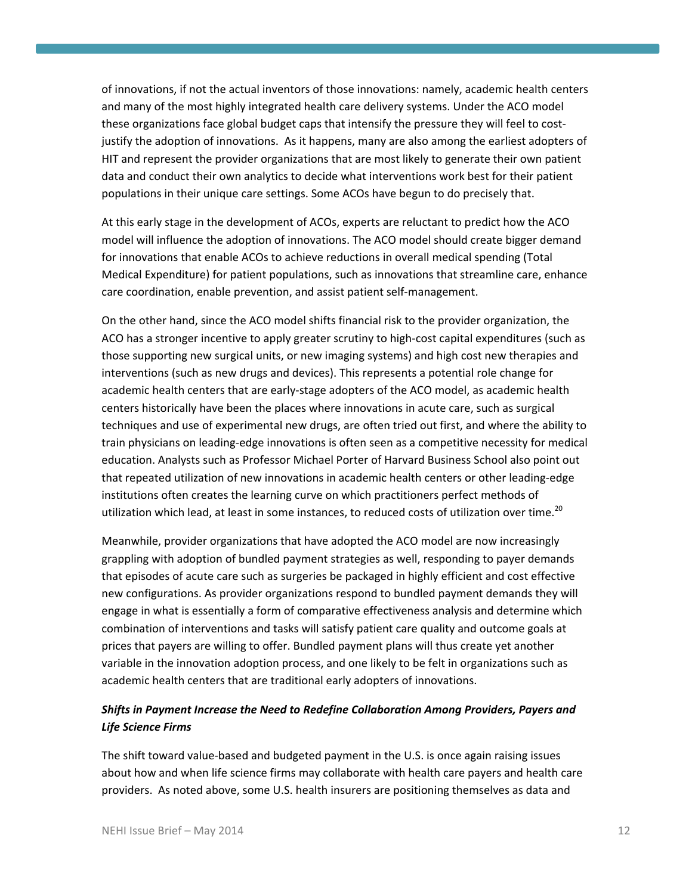of innovations, if not the actual inventors of those innovations: namely, academic health centers and many of the most highly integrated health care delivery systems. Under the ACO model these organizations face global budget caps that intensify the pressure they will feel to costjustify the adoption of innovations. As it happens, many are also among the earliest adopters of HIT and represent the provider organizations that are most likely to generate their own patient data and conduct their own analytics to decide what interventions work best for their patient populations in their unique care settings. Some ACOs have begun to do precisely that.

At this early stage in the development of ACOs, experts are reluctant to predict how the ACO model will influence the adoption of innovations. The ACO model should create bigger demand for innovations that enable ACOs to achieve reductions in overall medical spending (Total Medical Expenditure) for patient populations, such as innovations that streamline care, enhance care coordination, enable prevention, and assist patient self‐management.

On the other hand, since the ACO model shifts financial risk to the provider organization, the ACO has a stronger incentive to apply greater scrutiny to high‐cost capital expenditures (such as those supporting new surgical units, or new imaging systems) and high cost new therapies and interventions (such as new drugs and devices). This represents a potential role change for academic health centers that are early‐stage adopters of the ACO model, as academic health centers historically have been the places where innovations in acute care, such as surgical techniques and use of experimental new drugs, are often tried out first, and where the ability to train physicians on leading‐edge innovations is often seen as a competitive necessity for medical education. Analysts such as Professor Michael Porter of Harvard Business School also point out that repeated utilization of new innovations in academic health centers or other leading‐edge institutions often creates the learning curve on which practitioners perfect methods of utilization which lead, at least in some instances, to reduced costs of utilization over time.<sup>20</sup>

Meanwhile, provider organizations that have adopted the ACO model are now increasingly grappling with adoption of bundled payment strategies as well, responding to payer demands that episodes of acute care such as surgeries be packaged in highly efficient and cost effective new configurations. As provider organizations respond to bundled payment demands they will engage in what is essentially a form of comparative effectiveness analysis and determine which combination of interventions and tasks will satisfy patient care quality and outcome goals at prices that payers are willing to offer. Bundled payment plans will thus create yet another variable in the innovation adoption process, and one likely to be felt in organizations such as academic health centers that are traditional early adopters of innovations.

# *Shifts in Payment Increase the Need to Redefine Collaboration Among Providers, Payers and Life Science Firms*

The shift toward value‐based and budgeted payment in the U.S. is once again raising issues about how and when life science firms may collaborate with health care payers and health care providers. As noted above, some U.S. health insurers are positioning themselves as data and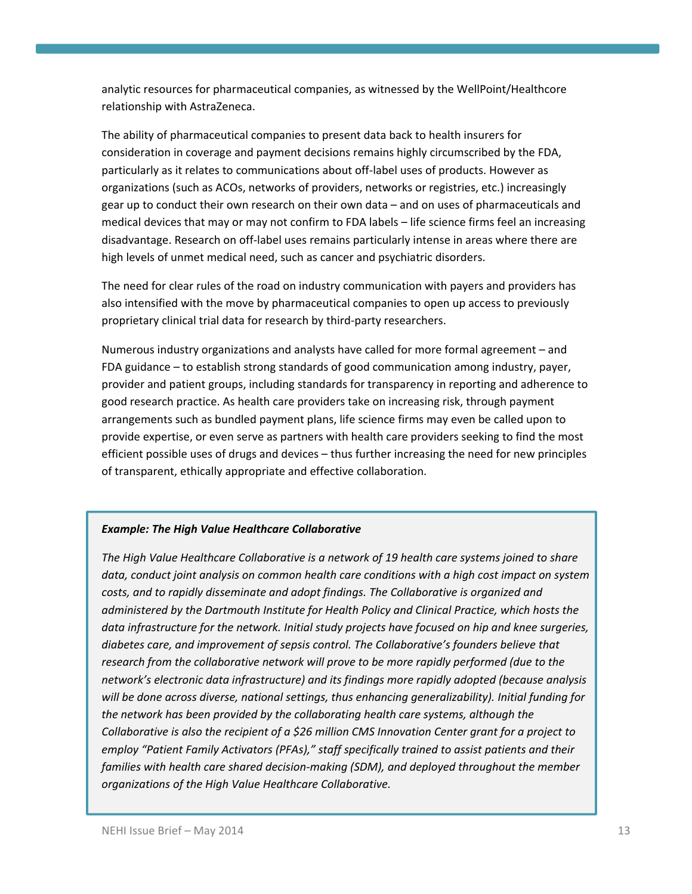analytic resources for pharmaceutical companies, as witnessed by the WellPoint/Healthcore relationship with AstraZeneca.

The ability of pharmaceutical companies to present data back to health insurers for consideration in coverage and payment decisions remains highly circumscribed by the FDA, particularly as it relates to communications about off‐label uses of products. However as organizations (such as ACOs, networks of providers, networks or registries, etc.) increasingly gear up to conduct their own research on their own data – and on uses of pharmaceuticals and medical devices that may or may not confirm to FDA labels – life science firms feel an increasing disadvantage. Research on off‐label uses remains particularly intense in areas where there are high levels of unmet medical need, such as cancer and psychiatric disorders.

The need for clear rules of the road on industry communication with payers and providers has also intensified with the move by pharmaceutical companies to open up access to previously proprietary clinical trial data for research by third‐party researchers.

Numerous industry organizations and analysts have called for more formal agreement – and FDA guidance – to establish strong standards of good communication among industry, payer, provider and patient groups, including standards for transparency in reporting and adherence to good research practice. As health care providers take on increasing risk, through payment arrangements such as bundled payment plans, life science firms may even be called upon to provide expertise, or even serve as partners with health care providers seeking to find the most efficient possible uses of drugs and devices – thus further increasing the need for new principles of transparent, ethically appropriate and effective collaboration.

# *Example: The High Value Healthcare Collaborative*

*The High Value Healthcare Collaborative is a network of 19 health care systems joined to share data, conduct joint analysis on common health care conditions with a high cost impact on system costs, and to rapidly disseminate and adopt findings. The Collaborative is organized and administered by the Dartmouth Institute for Health Policy and Clinical Practice, which hosts the data infrastructure for the network. Initial study projects have focused on hip and knee surgeries, diabetes care, and improvement of sepsis control. The Collaborative's founders believe that research from the collaborative network will prove to be more rapidly performed (due to the network's electronic data infrastructure) and its findings more rapidly adopted (because analysis will be done across diverse, national settings, thus enhancing generalizability). Initial funding for the network has been provided by the collaborating health care systems, although the Collaborative is also the recipient of a \$26 million CMS Innovation Center grant for a project to employ "Patient Family Activators (PFAs)," staff specifically trained to assist patients and their families with health care shared decision‐making (SDM), and deployed throughout the member organizations of the High Value Healthcare Collaborative.*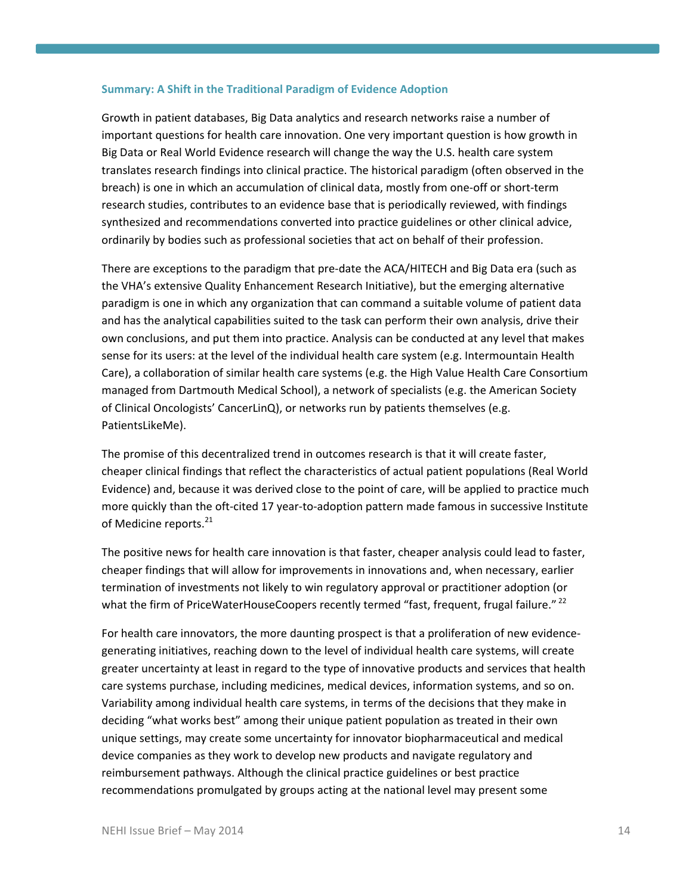### **Summary: A Shift in the Traditional Paradigm of Evidence Adoption**

Growth in patient databases, Big Data analytics and research networks raise a number of important questions for health care innovation. One very important question is how growth in Big Data or Real World Evidence research will change the way the U.S. health care system translates research findings into clinical practice. The historical paradigm (often observed in the breach) is one in which an accumulation of clinical data, mostly from one‐off or short‐term research studies, contributes to an evidence base that is periodically reviewed, with findings synthesized and recommendations converted into practice guidelines or other clinical advice, ordinarily by bodies such as professional societies that act on behalf of their profession.

There are exceptions to the paradigm that pre‐date the ACA/HITECH and Big Data era (such as the VHA's extensive Quality Enhancement Research Initiative), but the emerging alternative paradigm is one in which any organization that can command a suitable volume of patient data and has the analytical capabilities suited to the task can perform their own analysis, drive their own conclusions, and put them into practice. Analysis can be conducted at any level that makes sense for its users: at the level of the individual health care system (e.g. Intermountain Health Care), a collaboration of similar health care systems (e.g. the High Value Health Care Consortium managed from Dartmouth Medical School), a network of specialists (e.g. the American Society of Clinical Oncologists' CancerLinQ), or networks run by patients themselves (e.g. PatientsLikeMe).

The promise of this decentralized trend in outcomes research is that it will create faster, cheaper clinical findings that reflect the characteristics of actual patient populations (Real World Evidence) and, because it was derived close to the point of care, will be applied to practice much more quickly than the oft-cited 17 year-to-adoption pattern made famous in successive Institute of Medicine reports.<sup>21</sup>

The positive news for health care innovation is that faster, cheaper analysis could lead to faster, cheaper findings that will allow for improvements in innovations and, when necessary, earlier termination of investments not likely to win regulatory approval or practitioner adoption (or what the firm of PriceWaterHouseCoopers recently termed "fast, frequent, frugal failure." <sup>22</sup>

For health care innovators, the more daunting prospect is that a proliferation of new evidence‐ generating initiatives, reaching down to the level of individual health care systems, will create greater uncertainty at least in regard to the type of innovative products and services that health care systems purchase, including medicines, medical devices, information systems, and so on. Variability among individual health care systems, in terms of the decisions that they make in deciding "what works best" among their unique patient population as treated in their own unique settings, may create some uncertainty for innovator biopharmaceutical and medical device companies as they work to develop new products and navigate regulatory and reimbursement pathways. Although the clinical practice guidelines or best practice recommendations promulgated by groups acting at the national level may present some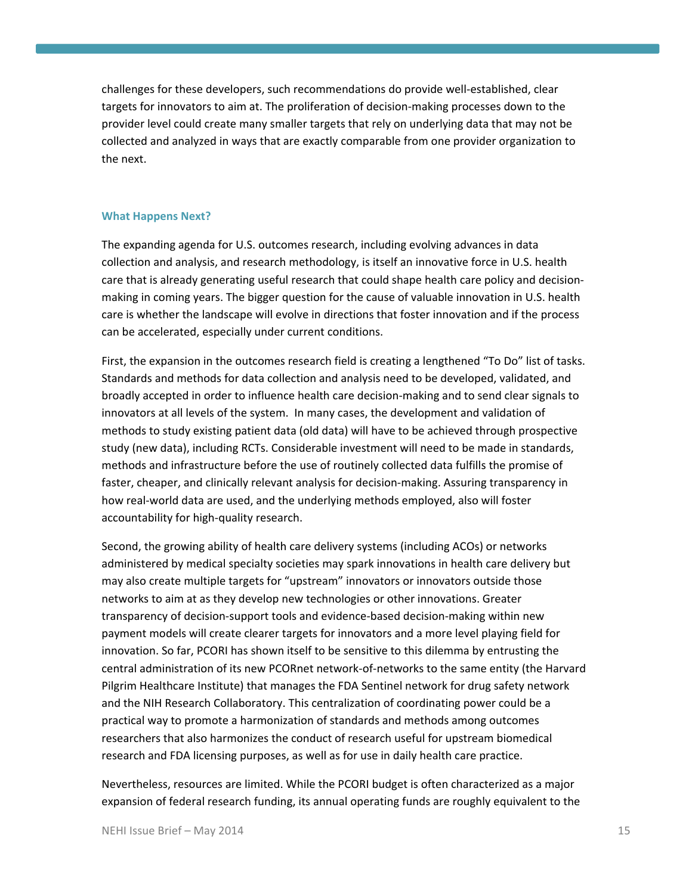challenges for these developers, such recommendations do provide well‐established, clear targets for innovators to aim at. The proliferation of decision‐making processes down to the provider level could create many smaller targets that rely on underlying data that may not be collected and analyzed in ways that are exactly comparable from one provider organization to the next.

### **What Happens Next?**

The expanding agenda for U.S. outcomes research, including evolving advances in data collection and analysis, and research methodology, is itself an innovative force in U.S. health care that is already generating useful research that could shape health care policy and decision‐ making in coming years. The bigger question for the cause of valuable innovation in U.S. health care is whether the landscape will evolve in directions that foster innovation and if the process can be accelerated, especially under current conditions.

First, the expansion in the outcomes research field is creating a lengthened "To Do" list of tasks. Standards and methods for data collection and analysis need to be developed, validated, and broadly accepted in order to influence health care decision‐making and to send clear signals to innovators at all levels of the system. In many cases, the development and validation of methods to study existing patient data (old data) will have to be achieved through prospective study (new data), including RCTs. Considerable investment will need to be made in standards, methods and infrastructure before the use of routinely collected data fulfills the promise of faster, cheaper, and clinically relevant analysis for decision‐making. Assuring transparency in how real-world data are used, and the underlying methods employed, also will foster accountability for high‐quality research.

Second, the growing ability of health care delivery systems (including ACOs) or networks administered by medical specialty societies may spark innovations in health care delivery but may also create multiple targets for "upstream" innovators or innovators outside those networks to aim at as they develop new technologies or other innovations. Greater transparency of decision‐support tools and evidence‐based decision‐making within new payment models will create clearer targets for innovators and a more level playing field for innovation. So far, PCORI has shown itself to be sensitive to this dilemma by entrusting the central administration of its new PCORnet network‐of‐networks to the same entity (the Harvard Pilgrim Healthcare Institute) that manages the FDA Sentinel network for drug safety network and the NIH Research Collaboratory. This centralization of coordinating power could be a practical way to promote a harmonization of standards and methods among outcomes researchers that also harmonizes the conduct of research useful for upstream biomedical research and FDA licensing purposes, as well as for use in daily health care practice.

Nevertheless, resources are limited. While the PCORI budget is often characterized as a major expansion of federal research funding, its annual operating funds are roughly equivalent to the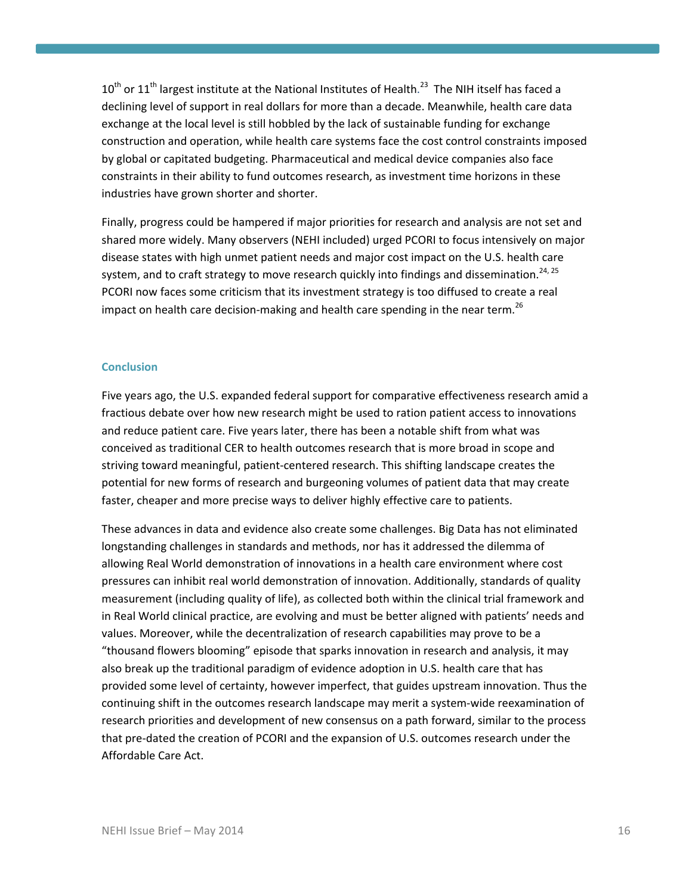$10^{\text{th}}$  or  $11^{\text{th}}$  largest institute at the National Institutes of Health.<sup>23</sup> The NIH itself has faced a declining level of support in real dollars for more than a decade. Meanwhile, health care data exchange at the local level is still hobbled by the lack of sustainable funding for exchange construction and operation, while health care systems face the cost control constraints imposed by global or capitated budgeting. Pharmaceutical and medical device companies also face constraints in their ability to fund outcomes research, as investment time horizons in these industries have grown shorter and shorter.

Finally, progress could be hampered if major priorities for research and analysis are not set and shared more widely. Many observers (NEHI included) urged PCORI to focus intensively on major disease states with high unmet patient needs and major cost impact on the U.S. health care system, and to craft strategy to move research quickly into findings and dissemination.<sup>24, 25</sup> PCORI now faces some criticism that its investment strategy is too diffused to create a real impact on health care decision-making and health care spending in the near term.<sup>26</sup>

## **Conclusion**

Five years ago, the U.S. expanded federal support for comparative effectiveness research amid a fractious debate over how new research might be used to ration patient access to innovations and reduce patient care. Five years later, there has been a notable shift from what was conceived as traditional CER to health outcomes research that is more broad in scope and striving toward meaningful, patient‐centered research. This shifting landscape creates the potential for new forms of research and burgeoning volumes of patient data that may create faster, cheaper and more precise ways to deliver highly effective care to patients.

These advances in data and evidence also create some challenges. Big Data has not eliminated longstanding challenges in standards and methods, nor has it addressed the dilemma of allowing Real World demonstration of innovations in a health care environment where cost pressures can inhibit real world demonstration of innovation. Additionally, standards of quality measurement (including quality of life), as collected both within the clinical trial framework and in Real World clinical practice, are evolving and must be better aligned with patients' needs and values. Moreover, while the decentralization of research capabilities may prove to be a "thousand flowers blooming" episode that sparks innovation in research and analysis, it may also break up the traditional paradigm of evidence adoption in U.S. health care that has provided some level of certainty, however imperfect, that guides upstream innovation. Thus the continuing shift in the outcomes research landscape may merit a system‐wide reexamination of research priorities and development of new consensus on a path forward, similar to the process that pre‐dated the creation of PCORI and the expansion of U.S. outcomes research under the Affordable Care Act.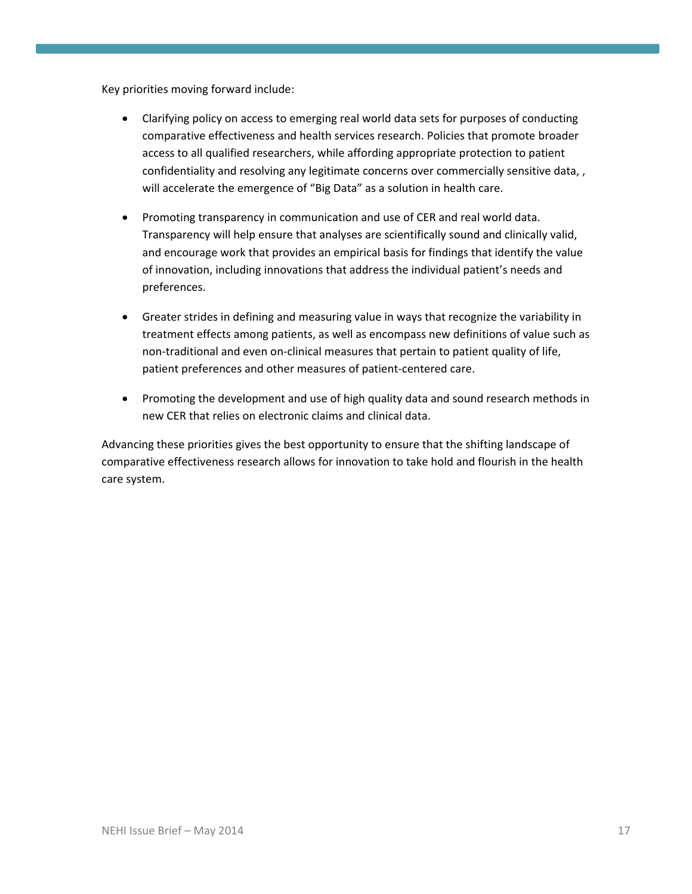Key priorities moving forward include:

- Clarifying policy on access to emerging real world data sets for purposes of conducting comparative effectiveness and health services research. Policies that promote broader access to all qualified researchers, while affording appropriate protection to patient confidentiality and resolving any legitimate concerns over commercially sensitive data, , will accelerate the emergence of "Big Data" as a solution in health care.
- Promoting transparency in communication and use of CER and real world data. Transparency will help ensure that analyses are scientifically sound and clinically valid, and encourage work that provides an empirical basis for findings that identify the value of innovation, including innovations that address the individual patient's needs and preferences.
- Greater strides in defining and measuring value in ways that recognize the variability in treatment effects among patients, as well as encompass new definitions of value such as non‐traditional and even on‐clinical measures that pertain to patient quality of life, patient preferences and other measures of patient‐centered care.
- Promoting the development and use of high quality data and sound research methods in new CER that relies on electronic claims and clinical data.

Advancing these priorities gives the best opportunity to ensure that the shifting landscape of comparative effectiveness research allows for innovation to take hold and flourish in the health care system.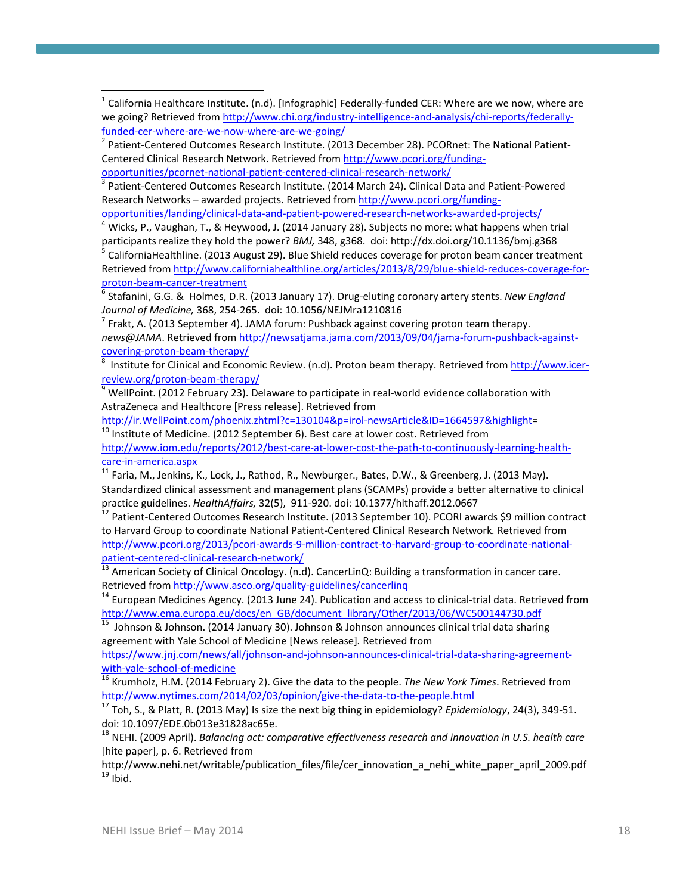$1$  California Healthcare Institute. (n.d). [Infographic] Federally-funded CER: Where are we now, where are we going? Retrieved from http://www.chi.org/industry-intelligence-and-analysis/chi-reports/federallyfunded-cer-where-are-we-now-where-are-we-going/<br><sup>2</sup> Patient-Centered Outcomes Research Institute. (2013 December 28). PCORnet: The National Patient-

Centered Clinical Research Network. Retrieved from http://www.pcori.org/funding‐

opportunities/pcornet‐national‐patient‐centered‐clinical‐research‐network/<br><sup>3</sup> Patient‐Centered Outcomes Research Institute. (2014 March 24). Clinical Data and Patient‐Powered Research Networks – awarded projects. Retrieved from http://www.pcori.org/funding‐

opportunities/landing/clinical‐data‐and‐patient‐powered‐research‐networks‐awarded‐projects/<br><sup>4</sup> Wicks, P., Vaughan, T., & Heywood, J. (2014 January 28). Subjects no more: what happens when trial

participants realize they hold the power? *BMJ,* 348, g368. doi: http://dx.doi.org/10.1136/bmj.g368<br><sup>5</sup> CaliforniaHealthline. (2013 August 29). Blue Shield reduces coverage for proton beam cancer treatment Retrieved from http://www.californiahealthline.org/articles/2013/8/29/blue‐shield‐reduces‐coverage‐for‐ proton-beam-cancer-treatment<br><sup>6</sup> Stafanini, G.G. & Holmes, D.R. (2013 January 17). Drug-eluting coronary artery stents. *New England* 

*Journal of Medicine,* 368, 254-265. doi: 10.1056/NEJMra1210816<br><sup>7</sup> Frakt, A. (2013 September 4). JAMA forum: Pushback against covering proton team therapy.

*news@JAMA*. Retrieved from http://newsatjama.jama.com/2013/09/04/jama‐forum‐pushback‐against‐ covering-proton-beam-therapy/

 Institute for Clinical and Economic Review. (n.d). Proton beam therapy. Retrieved from http://www.icer‐ review.org/proton-beam-therapy/<br><sup>9</sup> WellPoint. (2012 February 23). Delaware to participate in real-world evidence collaboration with

AstraZeneca and Healthcore [Press release]. Retrieved from

http://ir.WellPoint.com/phoenix.zhtml?c=130104&p=irol-newsArticle&ID=1664597&highlight= 10 Institute of Medicine. (2012 September 6). Best care at lower cost. Retrieved from

http://www.iom.edu/reports/2012/best-care-at-lower-cost-the-path-to-continuously-learning-health-<br>care-in-america.aspx<br><sup>11</sup> Early M. Jonking K. Lock J. Dethard D. W.

Faria, M., Jenkins, K., Lock, J., Rathod, R., Newburger., Bates, D.W., & Greenberg, J. (2013 May). Standardized clinical assessment and management plans (SCAMPs) provide a better alternative to clinical

practice guidelines. *HealthAffairs,* 32(5), 911-920. doi: 10.1377/hlthaff.2012.0667<br><sup>12</sup> Patient-Centered Outcomes Research Institute. (2013 September 10). PCORI awards \$9 million contract to Harvard Group to coordinate National Patient‐Centered Clinical Research Network*.* Retrieved from http://www.pcori.org/2013/pcori-awards-9-million-contract-to-harvard-group-to-coordinate-national-<br>patient-centered-clinical-research-network/

<sup>13</sup> American Society of Clinical Oncology. (n.d). CancerLinQ: Building a transformation in cancer care.<br>Retrieved from http://www.asco.org/quality-guidelines/cancerling

 $14$  European Medicines Agency. (2013 June 24). Publication and access to clinical-trial data. Retrieved from

http://www.ema.europa.eu/docs/en\_GB/document\_library/Other/2013/06/WC500144730.pdf<br><sup>15</sup> Johnson & Johnson. (2014 January 30). Johnson & Johnson announces clinical trial data sharing agreement with Yale School of Medicine [News release]*.* Retrieved from

https://www.jnj.com/news/all/johnson-and-johnson-announces-clinical-trial-data-sharing-agreement-

with-yale-school-of-medicine<br><sup>16</sup> Krumholz, H.M. (2014 February 2). Give the data to the people. *The New York Times*. Retrieved from<br>http://www.nytimes.com/2014/02/03/opinion/give-the-data-to-the-people.html

17 Toh, S., & Platt, R. (2013 May) Is size the next big thing in epidemiology? *Epidemiology*, 24(3), 349‐51. doi: 10.1097/EDE.0b013e31828ac65e. <sup>18</sup> NEHI. (2009 April). *Balancing act: comparative effectiveness research and innovation in U.S. health care*

[hite paper], p. 6. Retrieved from

http://www.nehi.net/writable/publication\_files/file/cer\_innovation\_a\_nehi\_white\_paper\_april\_2009.pdf<br><sup>19</sup> Ibid.